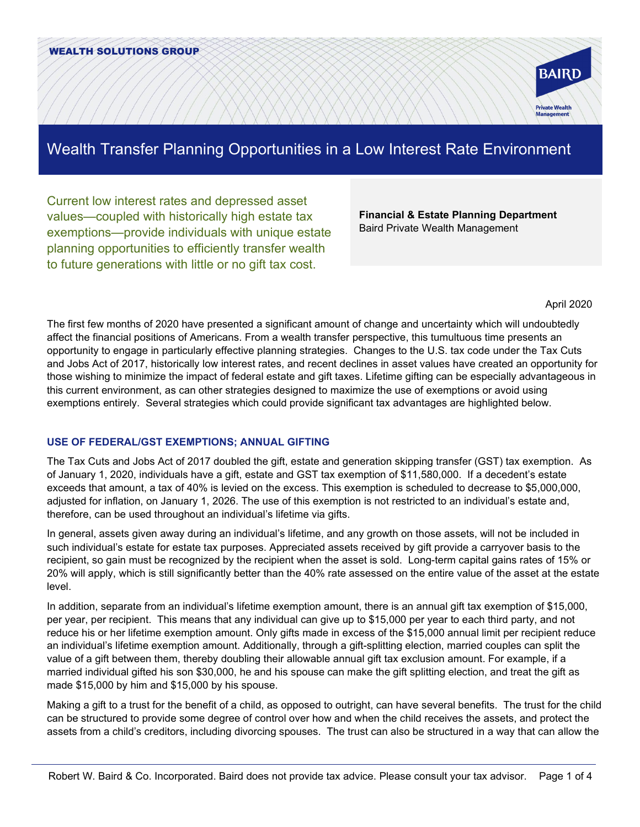

# Wealth Transfer Planning Opportunities in a Low Interest Rate Environment

Current low interest rates and depressed asset values—coupled with historically high estate tax exemptions—provide individuals with unique estate planning opportunities to efficiently transfer wealth to future generations with little or no gift tax cost.

**Financial & Estate Planning Department** Baird Private Wealth Management

April 2020

The first few months of 2020 have presented a significant amount of change and uncertainty which will undoubtedly affect the financial positions of Americans. From a wealth transfer perspective, this tumultuous time presents an opportunity to engage in particularly effective planning strategies. Changes to the U.S. tax code under the Tax Cuts and Jobs Act of 2017, historically low interest rates, and recent declines in asset values have created an opportunity for those wishing to minimize the impact of federal estate and gift taxes. Lifetime gifting can be especially advantageous in this current environment, as can other strategies designed to maximize the use of exemptions or avoid using exemptions entirely. Several strategies which could provide significant tax advantages are highlighted below.

## **USE OF FEDERAL/GST EXEMPTIONS; ANNUAL GIFTING**

The Tax Cuts and Jobs Act of 2017 doubled the gift, estate and generation skipping transfer (GST) tax exemption. As of January 1, 2020, individuals have a gift, estate and GST tax exemption of \$11,580,000. If a decedent's estate exceeds that amount, a tax of 40% is levied on the excess. This exemption is scheduled to decrease to \$5,000,000, adjusted for inflation, on January 1, 2026. The use of this exemption is not restricted to an individual's estate and, therefore, can be used throughout an individual's lifetime via gifts.

In general, assets given away during an individual's lifetime, and any growth on those assets, will not be included in such individual's estate for estate tax purposes. Appreciated assets received by gift provide a carryover basis to the recipient, so gain must be recognized by the recipient when the asset is sold. Long-term capital gains rates of 15% or 20% will apply, which is still significantly better than the 40% rate assessed on the entire value of the asset at the estate level.

In addition, separate from an individual's lifetime exemption amount, there is an annual gift tax exemption of \$15,000, per year, per recipient. This means that any individual can give up to \$15,000 per year to each third party, and not reduce his or her lifetime exemption amount. Only gifts made in excess of the \$15,000 annual limit per recipient reduce an individual's lifetime exemption amount. Additionally, through a gift-splitting election, married couples can split the value of a gift between them, thereby doubling their allowable annual gift tax exclusion amount. For example, if a married individual gifted his son \$30,000, he and his spouse can make the gift splitting election, and treat the gift as made \$15,000 by him and \$15,000 by his spouse.

Making a gift to a trust for the benefit of a child, as opposed to outright, can have several benefits. The trust for the child can be structured to provide some degree of control over how and when the child receives the assets, and protect the assets from a child's creditors, including divorcing spouses. The trust can also be structured in a way that can allow the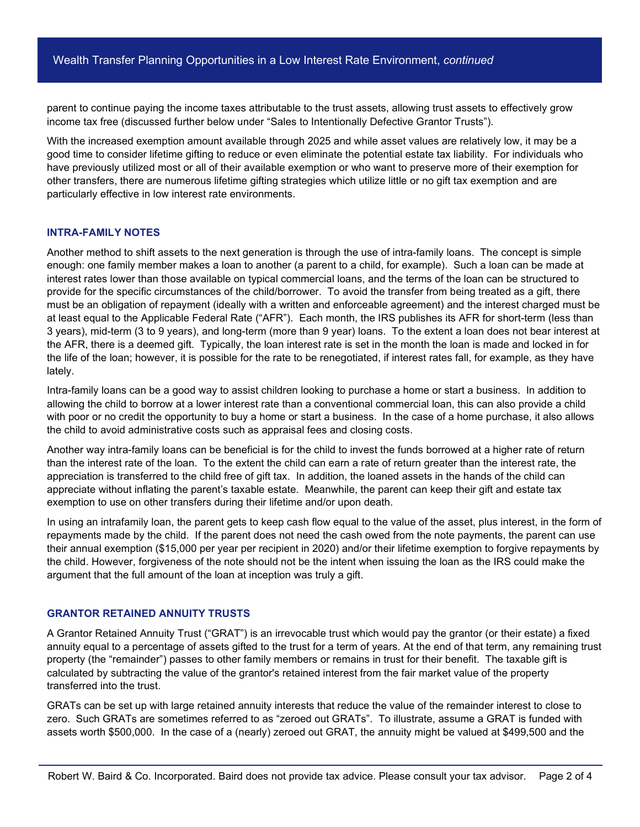parent to continue paying the income taxes attributable to the trust assets, allowing trust assets to effectively grow income tax free (discussed further below under "Sales to Intentionally Defective Grantor Trusts").

With the increased exemption amount available through 2025 and while asset values are relatively low, it may be a good time to consider lifetime gifting to reduce or even eliminate the potential estate tax liability. For individuals who have previously utilized most or all of their available exemption or who want to preserve more of their exemption for other transfers, there are numerous lifetime gifting strategies which utilize little or no gift tax exemption and are particularly effective in low interest rate environments.

### **INTRA-FAMILY NOTES**

Another method to shift assets to the next generation is through the use of intra-family loans. The concept is simple enough: one family member makes a loan to another (a parent to a child, for example). Such a loan can be made at interest rates lower than those available on typical commercial loans, and the terms of the loan can be structured to provide for the specific circumstances of the child/borrower. To avoid the transfer from being treated as a gift, there must be an obligation of repayment (ideally with a written and enforceable agreement) and the interest charged must be at least equal to the Applicable Federal Rate ("AFR"). Each month, the IRS publishes its AFR for short-term (less than 3 years), mid-term (3 to 9 years), and long-term (more than 9 year) loans. To the extent a loan does not bear interest at the AFR, there is a deemed gift. Typically, the loan interest rate is set in the month the loan is made and locked in for the life of the loan; however, it is possible for the rate to be renegotiated, if interest rates fall, for example, as they have lately.

Intra-family loans can be a good way to assist children looking to purchase a home or start a business. In addition to allowing the child to borrow at a lower interest rate than a conventional commercial loan, this can also provide a child with poor or no credit the opportunity to buy a home or start a business. In the case of a home purchase, it also allows the child to avoid administrative costs such as appraisal fees and closing costs.

Another way intra-family loans can be beneficial is for the child to invest the funds borrowed at a higher rate of return than the interest rate of the loan. To the extent the child can earn a rate of return greater than the interest rate, the appreciation is transferred to the child free of gift tax. In addition, the loaned assets in the hands of the child can appreciate without inflating the parent's taxable estate. Meanwhile, the parent can keep their gift and estate tax exemption to use on other transfers during their lifetime and/or upon death.

In using an intrafamily loan, the parent gets to keep cash flow equal to the value of the asset, plus interest, in the form of repayments made by the child. If the parent does not need the cash owed from the note payments, the parent can use their annual exemption (\$15,000 per year per recipient in 2020) and/or their lifetime exemption to forgive repayments by the child. However, forgiveness of the note should not be the intent when issuing the loan as the IRS could make the argument that the full amount of the loan at inception was truly a gift.

#### **GRANTOR RETAINED ANNUITY TRUSTS**

A Grantor Retained Annuity Trust ("GRAT") is an irrevocable trust which would pay the grantor (or their estate) a fixed annuity equal to a percentage of assets gifted to the trust for a term of years. At the end of that term, any remaining trust property (the "remainder") passes to other family members or remains in trust for their benefit. The taxable gift is calculated by subtracting the value of the grantor's retained interest from the fair market value of the property transferred into the trust.

GRATs can be set up with large retained annuity interests that reduce the value of the remainder interest to close to zero. Such GRATs are sometimes referred to as "zeroed out GRATs". To illustrate, assume a GRAT is funded with assets worth \$500,000. In the case of a (nearly) zeroed out GRAT, the annuity might be valued at \$499,500 and the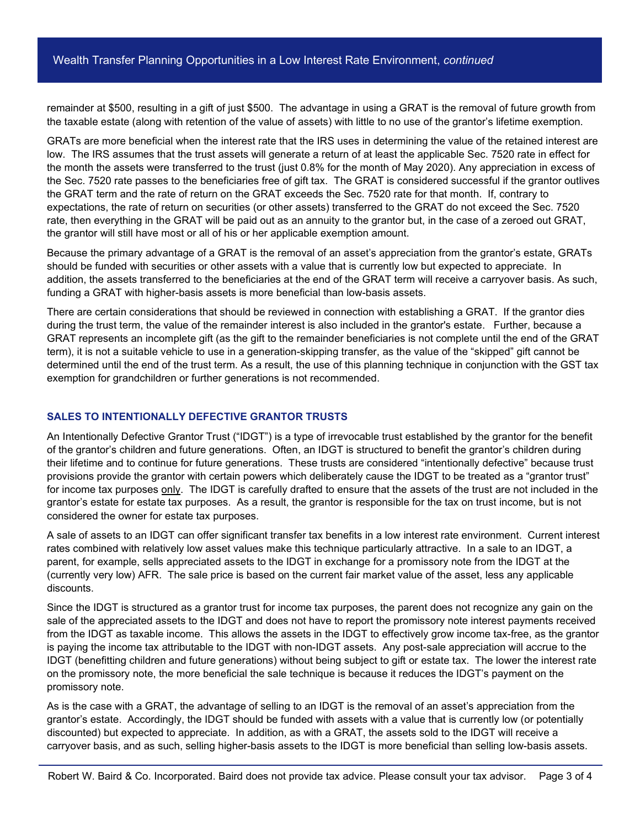remainder at \$500, resulting in a gift of just \$500. The advantage in using a GRAT is the removal of future growth from the taxable estate (along with retention of the value of assets) with little to no use of the grantor's lifetime exemption.

GRATs are more beneficial when the interest rate that the IRS uses in determining the value of the retained interest are low. The IRS assumes that the trust assets will generate a return of at least the applicable Sec. 7520 rate in effect for the month the assets were transferred to the trust (just 0.8% for the month of May 2020). Any appreciation in excess of the Sec. 7520 rate passes to the beneficiaries free of gift tax. The GRAT is considered successful if the grantor outlives the GRAT term and the rate of return on the GRAT exceeds the Sec. 7520 rate for that month. If, contrary to expectations, the rate of return on securities (or other assets) transferred to the GRAT do not exceed the Sec. 7520 rate, then everything in the GRAT will be paid out as an annuity to the grantor but, in the case of a zeroed out GRAT, the grantor will still have most or all of his or her applicable exemption amount.

Because the primary advantage of a GRAT is the removal of an asset's appreciation from the grantor's estate, GRATs should be funded with securities or other assets with a value that is currently low but expected to appreciate. In addition, the assets transferred to the beneficiaries at the end of the GRAT term will receive a carryover basis. As such, funding a GRAT with higher-basis assets is more beneficial than low-basis assets.

There are certain considerations that should be reviewed in connection with establishing a GRAT. If the grantor dies during the trust term, the value of the remainder interest is also included in the grantor's estate. Further, because a GRAT represents an incomplete gift (as the gift to the remainder beneficiaries is not complete until the end of the GRAT term), it is not a suitable vehicle to use in a generation-skipping transfer, as the value of the "skipped" gift cannot be determined until the end of the trust term. As a result, the use of this planning technique in conjunction with the GST tax exemption for grandchildren or further generations is not recommended.

## **SALES TO INTENTIONALLY DEFECTIVE GRANTOR TRUSTS**

An Intentionally Defective Grantor Trust ("IDGT") is a type of irrevocable trust established by the grantor for the benefit of the grantor's children and future generations. Often, an IDGT is structured to benefit the grantor's children during their lifetime and to continue for future generations. These trusts are considered "intentionally defective" because trust provisions provide the grantor with certain powers which deliberately cause the IDGT to be treated as a "grantor trust" for income tax purposes only. The IDGT is carefully drafted to ensure that the assets of the trust are not included in the grantor's estate for estate tax purposes. As a result, the grantor is responsible for the tax on trust income, but is not considered the owner for estate tax purposes.

A sale of assets to an IDGT can offer significant transfer tax benefits in a low interest rate environment. Current interest rates combined with relatively low asset values make this technique particularly attractive. In a sale to an IDGT, a parent, for example, sells appreciated assets to the IDGT in exchange for a promissory note from the IDGT at the (currently very low) AFR. The sale price is based on the current fair market value of the asset, less any applicable discounts.

Since the IDGT is structured as a grantor trust for income tax purposes, the parent does not recognize any gain on the sale of the appreciated assets to the IDGT and does not have to report the promissory note interest payments received from the IDGT as taxable income. This allows the assets in the IDGT to effectively grow income tax-free, as the grantor is paying the income tax attributable to the IDGT with non-IDGT assets. Any post-sale appreciation will accrue to the IDGT (benefitting children and future generations) without being subject to gift or estate tax. The lower the interest rate on the promissory note, the more beneficial the sale technique is because it reduces the IDGT's payment on the promissory note.

As is the case with a GRAT, the advantage of selling to an IDGT is the removal of an asset's appreciation from the grantor's estate. Accordingly, the IDGT should be funded with assets with a value that is currently low (or potentially discounted) but expected to appreciate. In addition, as with a GRAT, the assets sold to the IDGT will receive a carryover basis, and as such, selling higher-basis assets to the IDGT is more beneficial than selling low-basis assets.